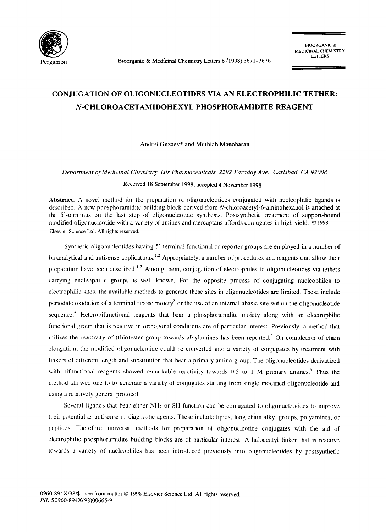

Pergamon Bioorganic & Medicinal Chemistry Letters 8 (1998) 3671-3676

## **CONJUGATION OF OLIGONUCLEOTIDES VIA AN ELECTROPHILIC TETHER: N-CHLOROACETAMIDOHEXYL PHOSPHORAMIDITE REAGENT**

Andrei Guzaev\* and Muthiah Manoharan

*Department of Medicinal Chemist~', Isis Pharmaceuticals, 2292 Faraday Ave., Carlsbad, CA 92008* 

Received 18 September 1998; accepted 4 November 1998

Abstract: A novel method for the preparation of oligonucleotides conjugated with nucleophilic ligands is described. A new phosphoramidite building block derived from N-chloroacetyl-6-aminohexanol is attached at the 5'-terminus on the last step of oligonucleotide synthesis. Postsynthetic treatment of support-bound modified oligonucleotide with a variety of amines and mercaptans affords conjugates in high yield. © 1998 Elsevier Science Ltd. All rights reserved.

Synthetic oligonucleotides having 5'-terminal functional or reporter groups are employed in a number of bioanalytical and antisense applications.<sup>1,2</sup> Appropriately, a number of procedures and reagents that allow their preparation have been described.  $A^{-3}$  Among them, conjugation of electrophiles to oligonucleotides via tethers carrying nucleophilic groups is well known. For the opposite process of coniugating nucleophiles to electrophilic sites, the available methods to generate these sites in oligonucleotides are limited. These include periodate oxidation of a terminal ribose moiety<sup>3</sup> or the use of an internal abasic site within the oligonucleotide sequence.<sup>4</sup> Heterobifunctional reagents that bear a phosphoramidite moiety along with an electrophilic functional group that is reactive in orthogonal conditions are of particular interest. Previously, a method that utilizes the reactivity of (thio)ester group towards alkylamines has been reported.<sup>5</sup> On completion of chain elongation, the modified oligonucleotide could be converted into a variety of conjugates by treatment with linkers of different length and substitution that bear a primary amino group. The oligonucleotides derivatized with bifunctional reagents showed remarkable reactivity towards  $0.5$  to 1 M primary amines.<sup>5</sup> Thus the method allowed one to to generate a variety of conjugates starting from single modified oligonucleotide and using a relatively general protocol.

Several ligands that bear either NH2 or SH function can be conjugated to oligonucleotides to improve their potential as antisense or diagnostic agents. These include lipids, long chain alkyl groups, polyamines, or peptides. Therefore, tmiversal methods for preparation of oligonucleotide conjugates with the aid of electrophilic phosphorarnidite building blocks are of particular interest. A haloacetyl linker that is reactive towards a variety of nucleophiles has been introduced previously into oligonucleotides by postsynthetic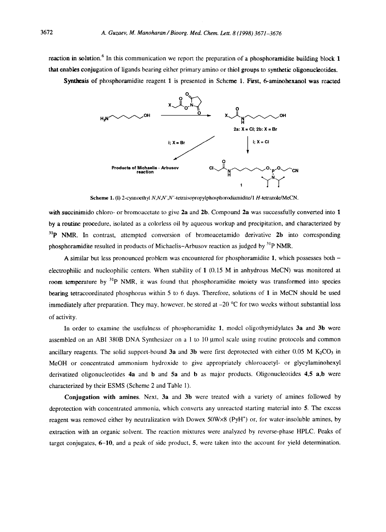reaction in solution.<sup>6</sup> In this communication we report the preparation of a phosphoramidite building block 1 that enables conjugation of ligands bearing either primary amino or thiol groups to synthetic oligonucleotides.

Synthesis of phosphoramidite reagent 1 is presented in Scheme 1. First, 6-aminohexanol was reacted



Scheme 1. (i) 2-cyanoethyl N,N,N',N'-tetraisopropylphosphorodiamidite/1 H-tetrazole/MeCN.

with succinimido chloro- or bromoacetate to give 2a and 2b. Compound 2a was successfully converted into 1 by a routine procedure, isolated as a colorless oil by aqueous workup and precipitation, and characterized by  $31P$  NMR. In contrast, attempted conversion of bromoacetamido derivative 2b into corresponding phosphoramidite resulted in products of Michaelis-Arbusov reaction as judged by  ${}^{31}P$  NMR.

A similar but less pronounced problem was encountered for phosphoramidite 1, which possesses both electrophilic and nucleophilic centers. When stability of 1 (0.15 M in anhydrous MeCN) was monitored at room temperature by <sup>31</sup>P NMR, it was found that phosphoramidite moiety was transformed into species hearing tetracoordinated phosphorus within 5 to 6 days. Therefore, solutions of 1 in MeCN should be used immediately after preparation. They may, however, be stored at  $-20$  °C for two weeks without substantial loss of activity.

In order to examine the usefulness of phosphoramidite 1, model oligothymidylates 3a and 3b were assembled on an ABI 380B DNA Synthesizer on a  $1$  to  $10 \mu$  mol scale using routine protocols and common ancillary reagents. The solid support-bound 3a and 3b were first deprotected with either  $0.05$  M K<sub>2</sub>CO<sub>3</sub> in MeOH or concentrated ammonium hydroxide to give appropriately chloroacetyl- or glycylaminohexyl derivatized oligonucleotides  $4a$  and  $b$  and  $5a$  and  $b$  as major products. Oligonucleotides  $4,5$  a,b were characterized by their ESMS (Scheme 2 and Table 1).

Conjugation with amines. Next, 3a and 3b were treated with a variety of amines followed by deprotection with concentrated ammonia, which converts any unreacted starting material into 5. The excess reagent was removed either by neutralization with Dowex 50W×8 (PyH<sup>+</sup>) or, for water-insoluble amines, by extraction with an organic solvent. The reaction mixtures were analyzed by reverse-phase HPLC. Peaks of target conjugates,  $6-10$ , and a peak of side product, 5, were taken into the account for yield determination.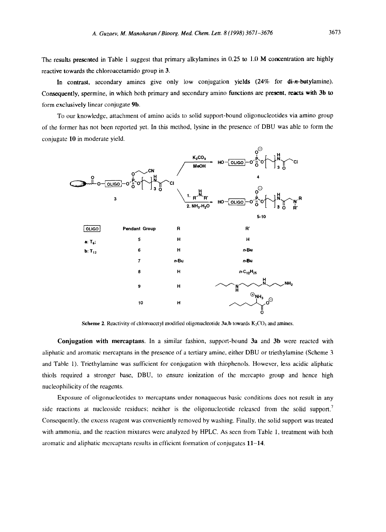The results presented in Table 1 suggest that primary alkylamines in 0.25 to 1.0 M concentration are highly reactive towards the chloroacetamido group in 3.

In contrast, secondary amines give only low conjugation yields (24% for di-n-butylamine). Consequently, spermine, in which both primary and secondary amino functions are present, reacts with 3b to form exclusively linear conjugate 9h.

To our knowledge, attachment of amino acids to solid support-bound oligonucleotides via amino group of the former has not been reported yet. In this method, lysine in the presence of DBU was able to form the conjugate 10 in moderate yield.



**Scheme 2.** Reactivity of chloroacetyl modified oligonucleotide 3a,b towards  $K_2CO_3$  and amines.

Conjugation with mereaptans. In a similar fashion, support-bound 3a and 3b were reacted with aliphatic and aromatic mercaptans in the presence of a tertiary amine, either DBU or triethylamine (Scheme 3 and Table 1). Triethylamine was sufficient for conjugation with thiophenols. However, less acidic aliphatic thiols required a stronger base, DBU, to ensure ionization of the mercapto group and hence high nucleophilicity of the reagents.

Exposure of oligonucleotides to mercaptans under nonaqueous basic conditions does not result in any side reactions at nucleoside residues; neither is the oligonucleotide released from the solid support. Consequently, the excess reagent was conveniently removed by washing. Finally, the solid support was treated with ammonia, and the reaction mixtures were analyzed by HPLC. As seen from Table 1, treatment with both aromatic and aliphatic mercaptans results in efficient formation of conjugates 11-14.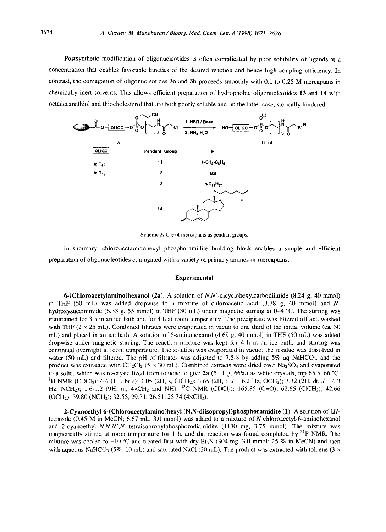Postsynthetic modification of oligonucleotides is often complicated by poor solubility of ligands at a concentration that enables favorable kinetics of the desired reaction and hence high coupling efficiency. In contrast, the conjugation of oligonucleotides 3a and 3b proceeds smoothly with 0.1 to 0.25 M mercaptans in chemically inert solvents. This allows efficient preparation of hydrophobic oligonucleotides 13 and 14 with octadecanethiol and thiocholesterol that are both poorly soluble and, in the latter case, sterically hindered.



Scheme 3. Use of mercaptans as pendant groups.

In summary, chloroacetamidohexyl phosphoramidite building block enables a simple and efficient preparation of oligonucleotides conjugated with a variety of primary amines or mercaptans.

## **Experimental**

**6-(Chloroacetylamino)hexanol** (2a). A solution of  $N$ , $N$ '-dicyclohexylcarbodiimide (8.24 g, 40 mmol) in THF  $(50 \text{ mL})$  was added dropwise to a mixture of chloroacetic acid  $(3.78 \text{ g}, 40 \text{ mmol})$  and Nhydroxysuccinimide (6.33 g, 55 mmol) in THF (30 mL) under magnetic stirring at 0-4 °C. The stirring was maintained for 3 h in an ice bath and for 4 h at room temperature. The precipitate was filtered off and washed with THF ( $2 \times 25$  mL). Combined filtrates were evaporated in vacuo to one third of the initial volume (ca. 30) mL) and placed in an ice bath. A solution of 6-aminohexanol  $(4.69 \text{ g}, 40 \text{ mmol})$  in THF  $(50 \text{ mL})$  was added dropwise under magnetic stirring. The reaction mixture was kept for 4 h in an ice bath, and stirring was continued overnight at room temperature. The solution was evaporated in vacuo; the residue was dissolved in water (50 mL) and filtered. The pH of filtrates was adjusted to 7.5-8 by adding 5% aq NaHCO<sub>3</sub>, and the product was extracted with  $CH_2Cl_2$  (5 × 30 mL). Combined extracts were dried over Na<sub>2</sub>SO<sub>4</sub> and evaporated to a solid, which was re-crystallized from toluene to give  $2a(5.11 g, 66%)$  as white crystals, mp 65.5–66 °C. <sup>1</sup>H NMR (CDCl<sub>3</sub>): 6.6 (1H, br s); 4.05 (2H, s, ClCH<sub>2</sub>); 3.65 (2H, t, J = 6.2 Hz, OCH<sub>2</sub>); 3.32 (2H, dt, J = 6.3 Hz, NCH<sub>2</sub>); 1.6-1.2 (9H, m,  $4 \times CH_2$  and NH). <sup>13</sup>C NMR (CDCl<sub>3</sub>): 165.85 (C=O); 62.65 (ClCH<sub>2</sub>); 42.66 (OCH2); 39.80 (NCHz); 32.55, 29.31, 26.51, 25.34 (4xCH2).

2-Cyanoethyl 6-(Chloroacetylamino)hexyl (N,N-diisopropyl)phosphoramidite (1). A solution of 1Htetrazole (0.45 M in MeCN; 6.67 mL, 3.0 mmol) was added to a mixture of  $N$ -chloroacetyl-6-aminohexanol and 2-cyanoethyl *N,N,N',N'*-tetraisopropylphosphorodiamidite (1130 mg, 3.75 mmol). The mixture was magnetically stirred at room temperature for 1 h, and the reaction was found completed by  $^{31}P$  NMR. The mixture was cooled to  $-10$  °C and treated first with dry Et<sub>3</sub>N (304 mg, 3.0 mmol; 25 % in MeCN) and then with aqueous NaHCO<sub>3</sub> (5%; 10 mL) and saturated NaCl (20 mL). The product was extracted with toluene (3  $\times$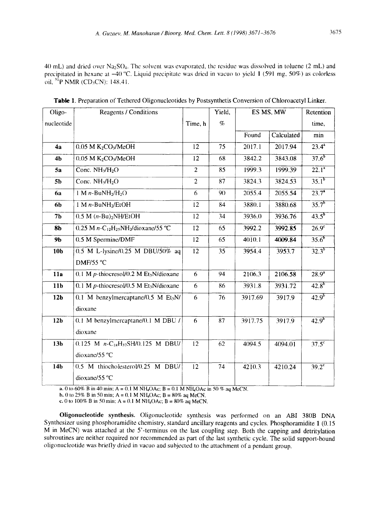40 mL) and dried over Na<sub>2</sub>SO<sub>4</sub>. The solvent was evaporated, the residue was dissolved in toluene (2 mL) and precipitated in hexane at -40 °C. Liquid precipitate was dried in vacuo to yield 1 (591 mg, 50%) as colorless oil,  ${}^{31}P$  NMR (CD<sub>3</sub>CN): 148.41.

| Oligo-          | Reagents / Conditions                                 |                | Yield, | ES MS, MW |            | Retention           |
|-----------------|-------------------------------------------------------|----------------|--------|-----------|------------|---------------------|
| nucleotide      |                                                       | Time, h        | $\%$   |           |            | time,               |
|                 |                                                       |                |        | Found     | Calculated | min                 |
| 4a              | $0.05$ M $K2CO3/MeOH$                                 | 12             | 75     | 2017.1    | 2017.94    | $23.4^a$            |
| 4 <sub>b</sub>  | $0.05$ M $K2CO3/MeOH$                                 | 12             | 68     | 3842.2    | 3843.08    | $37.6^{b}$          |
| 5a              | Conc. $NH3/H2O$                                       | $\overline{2}$ | 85     | 1999.3    | 1999.39    | $\overline{22.1^4}$ |
| 5 <sub>b</sub>  | Conc. $NH3/H2O$                                       | $\overline{2}$ | 87     | 3824.3    | 3824.53    | $35.1^{b}$          |
| 6a              | 1 M $n$ -BuNH <sub>2</sub> /H <sub>2</sub> O          | 6              | 90     | 2055.4    | 2055.54    | $23.7^{\circ}$      |
| 6b              | 1 M n-BuNH <sub>2</sub> /EtOH                         | 12             | 84     | 3880.1    | 3880.68    | $35.7^{b}$          |
| 7 <sub>b</sub>  | $0.5$ M $(n-Bu)$ <sub>2</sub> NH/EtOH                 | 12             | 34     | 3936.0    | 3936.76    | $43.5^{b}$          |
| 8 <sub>b</sub>  | 0.25 M $n - C_{12}H_{25}NH_2$ /dioxane/55 °C          | 12             | 65     | 3992.2    | 3992.85    | 26.9 <sup>c</sup>   |
| 9Ь              | 0.5 M Spermine/DMF                                    | 12             | 65     | 4010.1    | 4009.84    | $35.6^{6}$          |
| 10 <sub>b</sub> | 0.5 M L-lysine/0.25 M DBU/50% aq                      | 12             | 35     | 3954.4    | 3953.7     | $32.3^{b}$          |
|                 | DMF/55 °C                                             |                |        |           |            |                     |
| 11a             | $0.1$ M p-thiocresol/0.2 M Et <sub>3</sub> N/dioxane  | 6              | 94     | 2106.3    | 2106.58    | $28.9^{a}$          |
| 11 <sub>b</sub> | 0.1 M $p$ -thiocresol/0.5 M Et <sub>3</sub> N/dioxane | 6              | 86     | 3931.8    | 3931.72    | $42.8^{6}$          |
| 12 <sub>b</sub> | $0.1$ M benzylmercaptane/ $0.5$ M Et <sub>3</sub> N/  | 6              | 76     | 3917.69   | 3917.9     | $42.9^{5}$          |
|                 | dioxane                                               |                |        |           |            |                     |
| 12 <sub>b</sub> | 0.1 M benzylmercaptane/0.1 M DBU /                    | 6              | 87     | 3917.75   | 3917.9     | $42.9^{b}$          |
|                 | dioxane                                               |                |        |           |            |                     |
| 13 <sub>b</sub> | 0.125 M $n - C_{18}H_{37}SH/0.125$ M DBU/             | 12             | 62     | 4094.5    | 4094.01    | $\overline{37.5^c}$ |
|                 | dioxane/55 $^{\circ}$ C                               |                |        |           |            |                     |
| 14 <sub>b</sub> | 0.5 M thiocholesterol/0.25 M DBU/                     | 12             | 74     | 4210.3    | 4210.24    | $39.2^{\circ}$      |
|                 | dioxane/55 °C                                         |                |        |           |            |                     |

**Table** 1. Preparation of Tethered Oligonucleotides by Postsynthetis Conversion of Chloroacetyl Linker.

**a.** 0 to 60% B in 40 min;  $A = 0.1 M NH<sub>4</sub>OAC$ ;  $B = 0.1 M NH<sub>4</sub>OAC$  in 50 % aq MeCN.

b. 0 to 25% B in 50 min; A = 0.1 M NH<sub>4</sub>OAc; B = 80% aq MeCN.

c. 0 to 100% B in 50 min; A = 0.1 M NH<sub>4</sub>OAc; B = 80% aq MeCN.

Oligonueleotide synthesis. Oligonucleotide synthesis was performed on an ABI 380B DNA Synthesizer using phosphoramidite chemistry, standard ancillary reagents and cycles. Phosphoramidite 1 (0.15 M in MeCN) was attached at the 5'-terminus on the last coupling step. Both the capping and detritylation subroutines are neither required nor recommended as part of the last synthetic cycle. The solid support-bound oligonucleotide was briefly dried in vacuo and subjected to the attachment of a pendant group.